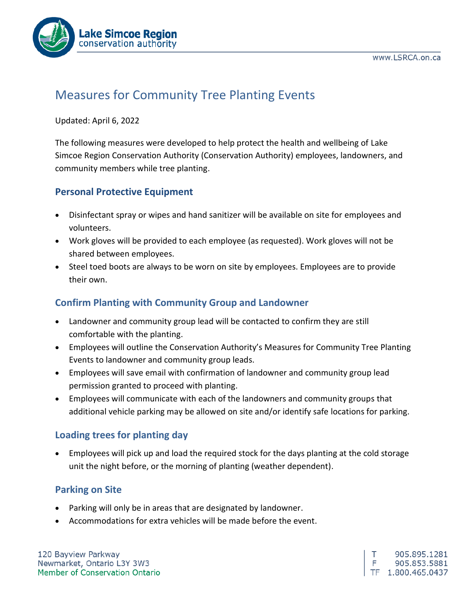

# Measures for Community Tree Planting Events

#### Updated: April 6, 2022

The following measures were developed to help protect the health and wellbeing of Lake Simcoe Region Conservation Authority (Conservation Authority) employees, landowners, and community members while tree planting.

#### **Personal Protective Equipment**

- Disinfectant spray or wipes and hand sanitizer will be available on site for employees and volunteers.
- Work gloves will be provided to each employee (as requested). Work gloves will not be shared between employees.
- Steel toed boots are always to be worn on site by employees. Employees are to provide their own.

#### **Confirm Planting with Community Group and Landowner**

- Landowner and community group lead will be contacted to confirm they are still comfortable with the planting.
- Employees will outline the Conservation Authority's Measures for Community Tree Planting Events to landowner and community group leads.
- Employees will save email with confirmation of landowner and community group lead permission granted to proceed with planting.
- Employees will communicate with each of the landowners and community groups that additional vehicle parking may be allowed on site and/or identify safe locations for parking.

## **Loading trees for planting day**

• Employees will pick up and load the required stock for the days planting at the cold storage unit the night before, or the morning of planting (weather dependent).

## **Parking on Site**

- Parking will only be in areas that are designated by landowner.
- Accommodations for extra vehicles will be made before the event.

120 Bayview Parkway Newmarket, Ontario L3Y 3W3 Member of Conservation Ontario

т 905.895.1281 F. 905.853.5881 TF 1.800.465.0437